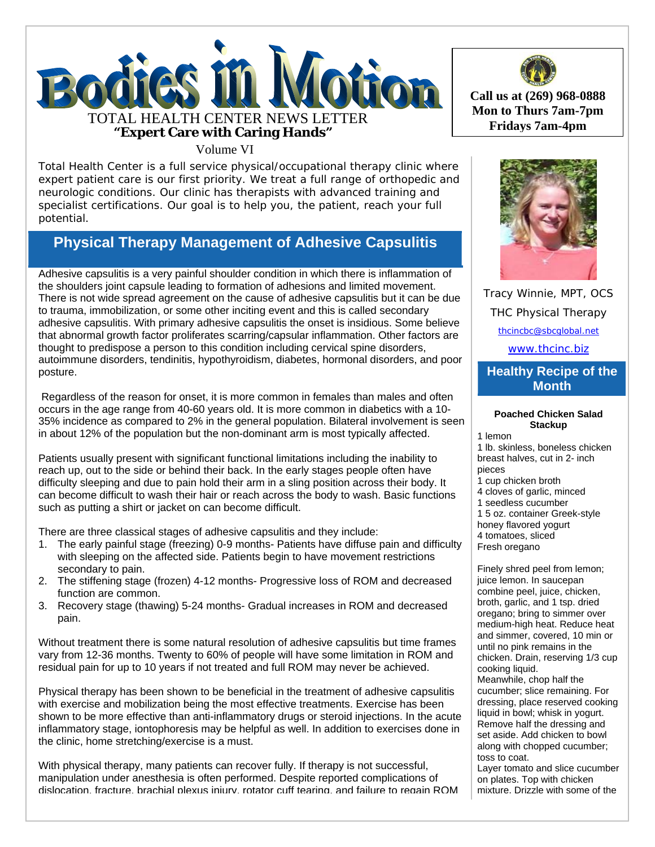

# Volume VI

Total Health Center is a full service physical/occupational therapy clinic where expert patient care is our first priority. We treat a full range of orthopedic and neurologic conditions. Our clinic has therapists with advanced training and specialist certifications. Our goal is to help you, the patient, reach your full potential.

# **Physical Therapy Management of Adhesive Capsulitis**

Adhesive capsulitis is a very painful shoulder condition in which there is inflammation of the shoulders joint capsule leading to formation of adhesions and limited movement. There is not wide spread agreement on the cause of adhesive capsulitis but it can be due to trauma, immobilization, or some other inciting event and this is called secondary adhesive capsulitis. With primary adhesive capsulitis the onset is insidious. Some believe that abnormal growth factor proliferates scarring/capsular inflammation. Other factors are thought to predispose a person to this condition including cervical spine disorders, autoimmune disorders, tendinitis, hypothyroidism, diabetes, hormonal disorders, and poor posture.

 Regardless of the reason for onset, it is more common in females than males and often occurs in the age range from 40-60 years old. It is more common in diabetics with a 10- 35% incidence as compared to 2% in the general population. Bilateral involvement is seen in about 12% of the population but the non-dominant arm is most typically affected.

Patients usually present with significant functional limitations including the inability to reach up, out to the side or behind their back. In the early stages people often have difficulty sleeping and due to pain hold their arm in a sling position across their body. It can become difficult to wash their hair or reach across the body to wash. Basic functions such as putting a shirt or jacket on can become difficult.

There are three classical stages of adhesive capsulitis and they include:

- 1. The early painful stage (freezing) 0-9 months- Patients have diffuse pain and difficulty with sleeping on the affected side. Patients begin to have movement restrictions secondary to pain.
- 2. The stiffening stage (frozen) 4-12 months- Progressive loss of ROM and decreased function are common.
- 3. Recovery stage (thawing) 5-24 months- Gradual increases in ROM and decreased pain.

Without treatment there is some natural resolution of adhesive capsulitis but time frames vary from 12-36 months. Twenty to 60% of people will have some limitation in ROM and residual pain for up to 10 years if not treated and full ROM may never be achieved.

Physical therapy has been shown to be beneficial in the treatment of adhesive capsulitis with exercise and mobilization being the most effective treatments. Exercise has been shown to be more effective than anti-inflammatory drugs or steroid injections. In the acute inflammatory stage, iontophoresis may be helpful as well. In addition to exercises done in the clinic, home stretching/exercise is a must.

With physical therapy, many patients can recover fully. If therapy is not successful, manipulation under anesthesia is often performed. Despite reported complications of dislocation, fracture, brachial plexus injury, rotator cuff tearing, and failure to regain ROM



**Call us at (269) 968-0888 Mon to Thurs 7am-7pm** 



Tracy Winnie, MPT, OCS THC Physical Therapy thcincbc@sbcglobal.net

www.thcinc.biz

## **Healthy Recipe of the Month**

#### **Poached Chicken Salad Stackup**

1 lemon

1 lb. skinless, boneless chicken breast halves, cut in 2- inch pieces

- 1 cup chicken broth
- 4 cloves of garlic, minced
- 1 seedless cucumber
- 1 5 oz. container Greek-style
- honey flavored yogurt
- 4 tomatoes, sliced
- Fresh oregano

Finely shred peel from lemon; juice lemon. In saucepan combine peel, juice, chicken, broth, garlic, and 1 tsp. dried oregano; bring to simmer over medium-high heat. Reduce heat and simmer, covered, 10 min or until no pink remains in the chicken. Drain, reserving 1/3 cup cooking liquid. Meanwhile, chop half the cucumber; slice remaining. For dressing, place reserved cooking liquid in bowl; whisk in yogurt. Remove half the dressing and set aside. Add chicken to bowl along with chopped cucumber; toss to coat. Layer tomato and slice cucumber

on plates. Top with chicken mixture. Drizzle with some of the